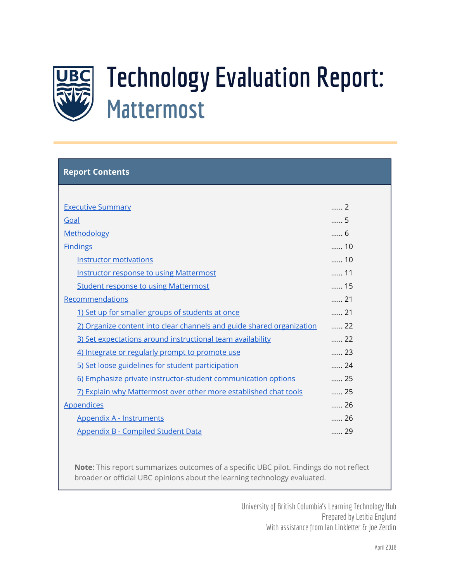

# **Technology Evaluation Report: Mattermost**

| <b>Report Contents</b>                                                |             |
|-----------------------------------------------------------------------|-------------|
|                                                                       |             |
| <b>Executive Summary</b>                                              | 2           |
| Goal                                                                  | 5           |
| Methodology                                                           | 6           |
| <b>Findings</b>                                                       | 10          |
| <b>Instructor motivations</b>                                         | 10          |
| <b>Instructor response to using Mattermost</b>                        | 11          |
| <b>Student response to using Mattermost</b>                           | 15          |
| Recommendations                                                       | 21          |
| 1) Set up for smaller groups of students at once                      | $\ldots$ 21 |
| 2) Organize content into clear channels and guide shared organization | 22          |
| 3) Set expectations around instructional team availability            | 22          |
| 4) Integrate or regularly prompt to promote use                       | 23          |
| 5) Set loose guidelines for student participation                     | 24          |
| 6) Emphasize private instructor-student communication options         | $\ldots$ 25 |
| 7) Explain why Mattermost over other more established chat tools      | 25          |
| <b>Appendices</b>                                                     | 26          |
| <b>Appendix A - Instruments</b>                                       | 26          |
| Appendix B - Compiled Student Data                                    | 29          |
|                                                                       |             |

**Note**: This report summarizes outcomes of a specific UBC pilot. Findings do not reflect broader or official UBC opinions about the learning technology evaluated.

> University of British Columbia's Learning Technology Hub Prepared by Letitia Englund With assistance from Ian Linkletter & Joe Zerdin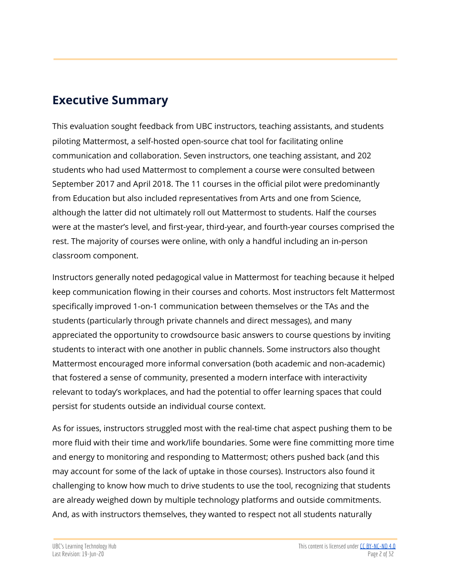# <span id="page-1-0"></span>**Executive Summary**

This evaluation sought feedback from UBC instructors, teaching assistants, and students piloting Mattermost, a self-hosted open-source chat tool for facilitating online communication and collaboration. Seven instructors, one teaching assistant, and 202 students who had used Mattermost to complement a course were consulted between September 2017 and April 2018. The 11 courses in the official pilot were predominantly from Education but also included representatives from Arts and one from Science, although the latter did not ultimately roll out Mattermost to students. Half the courses were at the master's level, and first-year, third-year, and fourth-year courses comprised the rest. The majority of courses were online, with only a handful including an in-person classroom component.

Instructors generally noted pedagogical value in Mattermost for teaching because it helped keep communication flowing in their courses and cohorts. Most instructors felt Mattermost specifically improved 1-on-1 communication between themselves or the TAs and the students (particularly through private channels and direct messages), and many appreciated the opportunity to crowdsource basic answers to course questions by inviting students to interact with one another in public channels. Some instructors also thought Mattermost encouraged more informal conversation (both academic and non-academic) that fostered a sense of community, presented a modern interface with interactivity relevant to today's workplaces, and had the potential to offer learning spaces that could persist for students outside an individual course context.

As for issues, instructors struggled most with the real-time chat aspect pushing them to be more fluid with their time and work/life boundaries. Some were fine committing more time and energy to monitoring and responding to Mattermost; others pushed back (and this may account for some of the lack of uptake in those courses). Instructors also found it challenging to know how much to drive students to use the tool, recognizing that students are already weighed down by multiple technology platforms and outside commitments. And, as with instructors themselves, they wanted to respect not all students naturally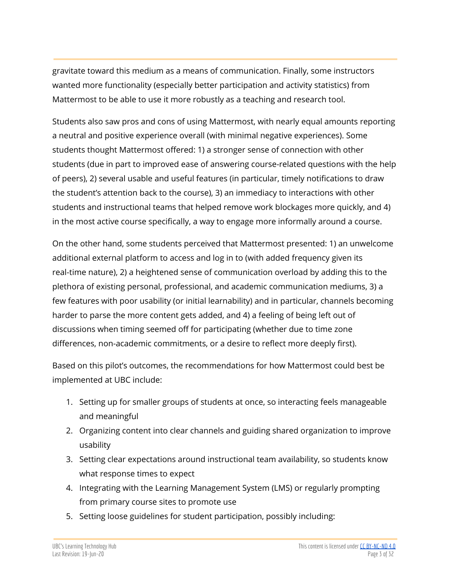gravitate toward this medium as a means of communication. Finally, some instructors wanted more functionality (especially better participation and activity statistics) from Mattermost to be able to use it more robustly as a teaching and research tool.

Students also saw pros and cons of using Mattermost, with nearly equal amounts reporting a neutral and positive experience overall (with minimal negative experiences). Some students thought Mattermost offered: 1) a stronger sense of connection with other students (due in part to improved ease of answering course-related questions with the help of peers), 2) several usable and useful features (in particular, timely notifications to draw the student's attention back to the course), 3) an immediacy to interactions with other students and instructional teams that helped remove work blockages more quickly, and 4) in the most active course specifically, a way to engage more informally around a course.

On the other hand, some students perceived that Mattermost presented: 1) an unwelcome additional external platform to access and log in to (with added frequency given its real-time nature), 2) a heightened sense of communication overload by adding this to the plethora of existing personal, professional, and academic communication mediums, 3) a few features with poor usability (or initial learnability) and in particular, channels becoming harder to parse the more content gets added, and 4) a feeling of being left out of discussions when timing seemed off for participating (whether due to time zone differences, non-academic commitments, or a desire to reflect more deeply first).

Based on this pilot's outcomes, the recommendations for how Mattermost could best be implemented at UBC include:

- 1. Setting up for smaller groups of students at once, so interacting feels manageable and meaningful
- 2. Organizing content into clear channels and guiding shared organization to improve usability
- 3. Setting clear expectations around instructional team availability, so students know what response times to expect
- 4. Integrating with the Learning Management System (LMS) or regularly prompting from primary course sites to promote use
- 5. Setting loose guidelines for student participation, possibly including: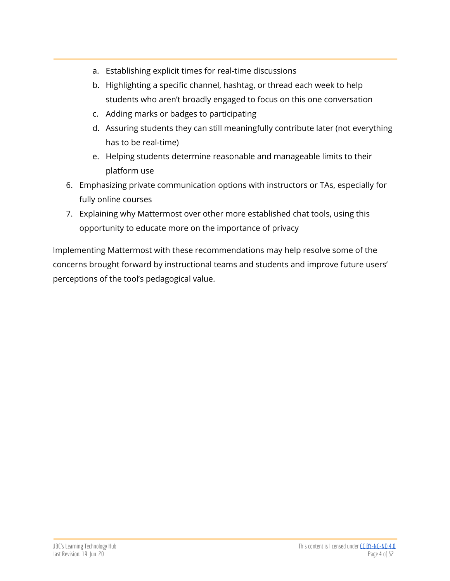- a. Establishing explicit times for real-time discussions
- b. Highlighting a specific channel, hashtag, or thread each week to help students who aren't broadly engaged to focus on this one conversation
- c. Adding marks or badges to participating
- d. Assuring students they can still meaningfully contribute later (not everything has to be real-time)
- e. Helping students determine reasonable and manageable limits to their platform use
- 6. Emphasizing private communication options with instructors or TAs, especially for fully online courses
- 7. Explaining why Mattermost over other more established chat tools, using this opportunity to educate more on the importance of privacy

Implementing Mattermost with these recommendations may help resolve some of the concerns brought forward by instructional teams and students and improve future users' perceptions of the tool's pedagogical value.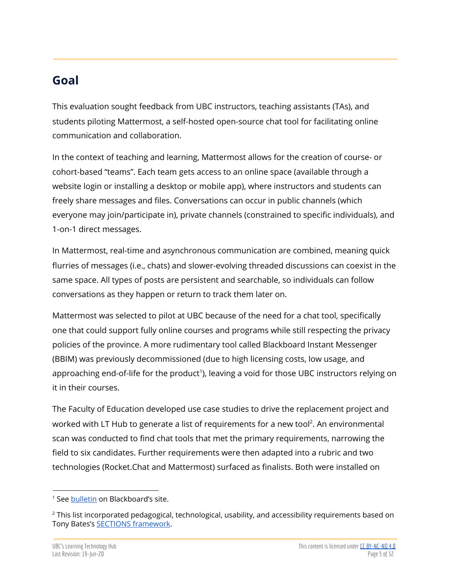# <span id="page-4-0"></span>**Goal**

This evaluation sought feedback from UBC instructors, teaching assistants (TAs), and students piloting Mattermost, a self-hosted open-source chat tool for facilitating online communication and collaboration.

In the context of teaching and learning, Mattermost allows for the creation of course- or cohort-based "teams". Each team gets access to an online space (available through a website login or installing a desktop or mobile app), where instructors and students can freely share messages and files. Conversations can occur in public channels (which everyone may join/participate in), private channels (constrained to specific individuals), and 1-on-1 direct messages.

In Mattermost, real-time and asynchronous communication are combined, meaning quick flurries of messages (i.e., chats) and slower-evolving threaded discussions can coexist in the same space. All types of posts are persistent and searchable, so individuals can follow conversations as they happen or return to track them later on.

Mattermost was selected to pilot at UBC because of the need for a chat tool, specifically one that could support fully online courses and programs while still respecting the privacy policies of the province. A more rudimentary tool called Blackboard Instant Messenger (BBIM) was previously decommissioned (due to high licensing costs, low usage, and approaching end-of-life for the product<sup>1</sup>), leaving a void for those UBC instructors relying on it in their courses.

The Faculty of Education developed use case studies to drive the replacement project and worked with LT Hub to generate a list of requirements for a new tool $^2$ . An environmental scan was conducted to find chat tools that met the primary requirements, narrowing the field to six candidates. Further requirements were then adapted into a rubric and two technologies (Rocket.Chat and Mattermost) surfaced as finalists. Both were installed on

<sup>&</sup>lt;sup>1</sup> See [bulletin](https://blackboard.secure.force.com/apex/publickbarticleview?id=kAA3900000000H8) on Blackboard's site.

<sup>&</sup>lt;sup>2</sup> This list incorporated pedagogical, technological, usability, and accessibility requirements based on Tony Bates's **SECTIONS** [framework.](https://www.tonybates.ca/2015/01/03/choosing-a-model-for-media-selection/)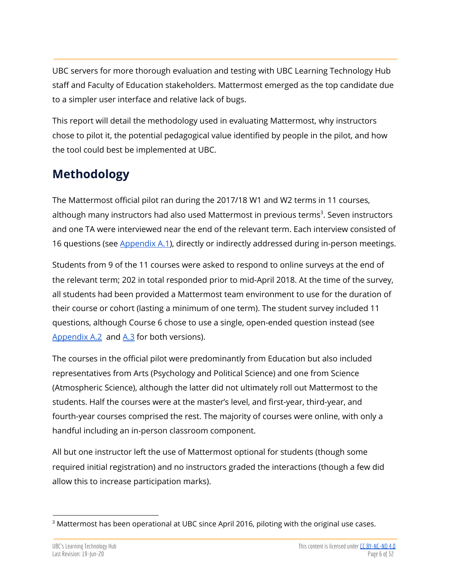UBC servers for more thorough evaluation and testing with UBC Learning Technology Hub staff and Faculty of Education stakeholders. Mattermost emerged as the top candidate due to a simpler user interface and relative lack of bugs.

This report will detail the methodology used in evaluating Mattermost, why instructors chose to pilot it, the potential pedagogical value identified by people in the pilot, and how the tool could best be implemented at UBC.

# <span id="page-5-0"></span>**Methodology**

The Mattermost official pilot ran during the 2017/18 W1 and W2 terms in 11 courses, although many instructors had also used Mattermost in previous terms $^3$ . Seven instructors and one TA were interviewed near the end of the relevant term. Each interview consisted of 16 questions (see [Appendix](#page-25-2) A.1), directly or indirectly addressed during in-person meetings.

Students from 9 of the 11 courses were asked to respond to online surveys at the end of the relevant term; 202 in total responded prior to mid-April 2018. At the time of the survey, all students had been provided a Mattermost team environment to use for the duration of their course or cohort (lasting a minimum of one term). The student survey included 11 questions, although Course 6 chose to use a single, open-ended question instead (see [Appendix](#page-26-0)  $A.2$  and  $A.3$  for both versions).

The courses in the official pilot were predominantly from Education but also included representatives from Arts (Psychology and Political Science) and one from Science (Atmospheric Science), although the latter did not ultimately roll out Mattermost to the students. Half the courses were at the master's level, and first-year, third-year, and fourth-year courses comprised the rest. The majority of courses were online, with only a handful including an in-person classroom component.

All but one instructor left the use of Mattermost optional for students (though some required initial registration) and no instructors graded the interactions (though a few did allow this to increase participation marks).

<sup>&</sup>lt;sup>3</sup> Mattermost has been operational at UBC since April 2016, piloting with the original use cases.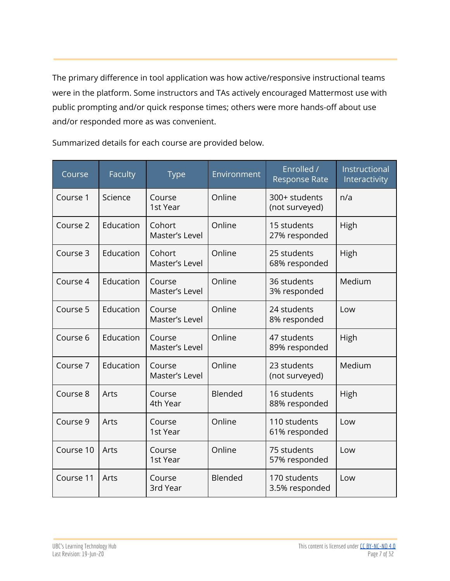The primary difference in tool application was how active/responsive instructional teams were in the platform. Some instructors and TAs actively encouraged Mattermost use with public prompting and/or quick response times; others were more hands-off about use and/or responded more as was convenient.

Course Faculty Type Environment Enrolled / Response Rate Instructional Interactivity Course 1 | Science | Course 1st Year Online 300+ students (not surveyed) n/a Course 2 | Education | Cohort Master's Level Online | 15 students 27% responded High Course 3 | Education | Cohort Master's Level Online 25 students 68% responded High Course 4 | Education | Course Master's Level Online 36 students 3% responded Medium Course 5 | Education | Course Master's Level Online 24 students 8% responded Low Course 6 | Education | Course Master's Level Online | 47 students 89% responded High Course 7 | Education | Course Master's Level Online 23 students (not surveyed) Medium Course 8 | Arts | Course 4th Year Blended 16 students 88% responded High Course 9 | Arts | Course 1st Year Online 110 students 61% responded Low Course 10 | Arts | Course 1st Year Online 75 students 57% responded Low Course 11 | Arts | Course 3rd Year Blended 170 students 3.5% responded Low

Summarized details for each course are provided below.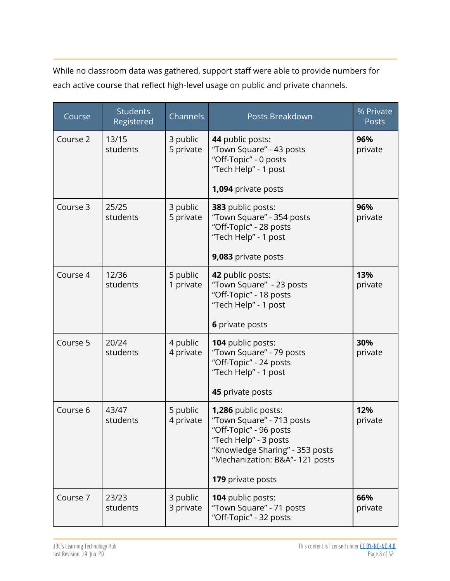While no classroom data was gathered, support staff were able to provide numbers for each active course that reflect high-level usage on public and private channels.

| Course   | <b>Students</b><br>Registered | Channels              | Posts Breakdown                                                                                                                                                                                | % Private<br>Posts |
|----------|-------------------------------|-----------------------|------------------------------------------------------------------------------------------------------------------------------------------------------------------------------------------------|--------------------|
| Course 2 | 13/15<br>students             | 3 public<br>5 private | 44 public posts:<br>"Town Square" - 43 posts<br>"Off-Topic" - 0 posts<br>"Tech Help" - 1 post<br>1,094 private posts                                                                           | 96%<br>private     |
| Course 3 | 25/25                         | 3 public              | 383 public posts:                                                                                                                                                                              | 96%                |
|          | students                      | 5 private             | "Town Square" - 354 posts<br>"Off-Topic" - 28 posts<br>"Tech Help" - 1 post                                                                                                                    | private            |
|          |                               |                       | 9,083 private posts                                                                                                                                                                            |                    |
| Course 4 | 12/36<br>students             | 5 public<br>1 private | 42 public posts:<br>"Town Square" - 23 posts<br>"Off-Topic" - 18 posts<br>"Tech Help" - 1 post<br>6 private posts                                                                              | 13%<br>private     |
|          |                               |                       |                                                                                                                                                                                                |                    |
| Course 5 | 20/24<br>students             | 4 public<br>4 private | 104 public posts:<br>"Town Square" - 79 posts<br>"Off-Topic" - 24 posts<br>"Tech Help" - 1 post                                                                                                | 30%<br>private     |
|          |                               |                       | 45 private posts                                                                                                                                                                               |                    |
| Course 6 | 43/47<br>students             | 5 public<br>4 private | 1,286 public posts:<br>"Town Square" - 713 posts<br>"Off-Topic" - 96 posts<br>"Tech Help" - 3 posts<br>"Knowledge Sharing" - 353 posts<br>"Mechanization: B&A"- 121 posts<br>179 private posts | 12%<br>private     |
| Course 7 | 23/23                         | 3 public              | <b>104 public posts:</b>                                                                                                                                                                       | 66%                |
|          | students                      | 3 private             | "Town Square" - 71 posts<br>"Off-Topic" - 32 posts                                                                                                                                             | private            |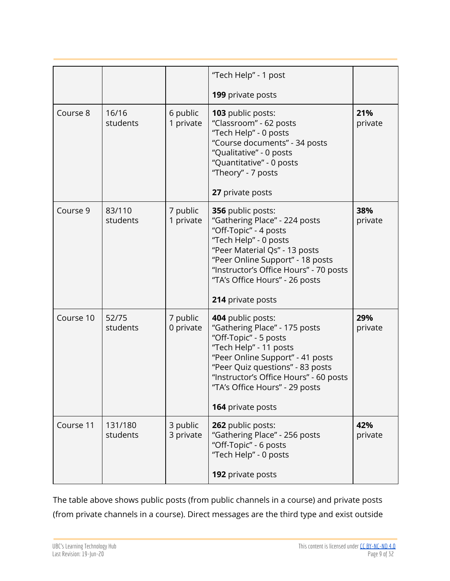|           |                     |                       | "Tech Help" - 1 post                                                                                                                                                                                                                                                           |                |
|-----------|---------------------|-----------------------|--------------------------------------------------------------------------------------------------------------------------------------------------------------------------------------------------------------------------------------------------------------------------------|----------------|
|           |                     |                       | <b>199</b> private posts                                                                                                                                                                                                                                                       |                |
| Course 8  | 16/16<br>students   | 6 public<br>1 private | 103 public posts:<br>"Classroom" - 62 posts<br>"Tech Help" - 0 posts<br>"Course documents" - 34 posts<br>"Qualitative" - 0 posts<br>"Quantitative" - 0 posts<br>"Theory" - 7 posts<br>27 private posts                                                                         | 21%<br>private |
| Course 9  | 83/110<br>students  | 7 public<br>1 private | 356 public posts:<br>"Gathering Place" - 224 posts<br>"Off-Topic" - 4 posts<br>"Tech Help" - 0 posts<br>"Peer Material Qs" - 13 posts<br>"Peer Online Support" - 18 posts<br>"Instructor's Office Hours" - 70 posts<br>"TA's Office Hours" - 26 posts<br>214 private posts     | 38%<br>private |
| Course 10 | 52/75<br>students   | 7 public<br>0 private | 404 public posts:<br>"Gathering Place" - 175 posts<br>"Off-Topic" - 5 posts<br>"Tech Help" - 11 posts<br>"Peer Online Support" - 41 posts<br>"Peer Quiz questions" - 83 posts<br>"Instructor's Office Hours" - 60 posts<br>"TA's Office Hours" - 29 posts<br>164 private posts | 29%<br>private |
| Course 11 | 131/180<br>students | 3 public<br>3 private | 262 public posts:<br>"Gathering Place" - 256 posts<br>"Off-Topic" - 6 posts<br>"Tech Help" - 0 posts<br>192 private posts                                                                                                                                                      | 42%<br>private |
|           |                     |                       |                                                                                                                                                                                                                                                                                |                |

The table above shows public posts (from public channels in a course) and private posts (from private channels in a course). Direct messages are the third type and exist outside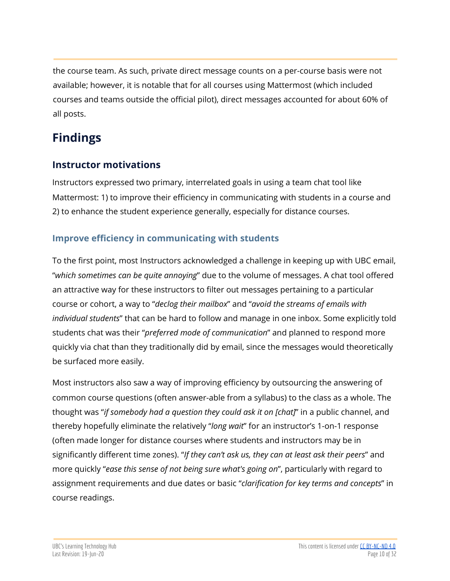the course team. As such, private direct message counts on a per-course basis were not available; however, it is notable that for all courses using Mattermost (which included courses and teams outside the official pilot), direct messages accounted for about 60% of all posts.

# <span id="page-9-0"></span>**Findings**

## <span id="page-9-1"></span>**Instructor motivations**

Instructors expressed two primary, interrelated goals in using a team chat tool like Mattermost: 1) to improve their efficiency in communicating with students in a course and 2) to enhance the student experience generally, especially for distance courses.

## **Improve efficiency in communicating with students**

To the first point, most Instructors acknowledged a challenge in keeping up with UBC email, "*which sometimes can be quite annoying*" due to the volume of messages. A chat tool offered an attractive way for these instructors to filter out messages pertaining to a particular course or cohort, a way to "*declog their mailbox*" and "*avoid the streams of emails with individual students*" that can be hard to follow and manage in one inbox. Some explicitly told students chat was their "*preferred mode of communication*" and planned to respond more quickly via chat than they traditionally did by email, since the messages would theoretically be surfaced more easily.

Most instructors also saw a way of improving efficiency by outsourcing the answering of common course questions (often answer-able from a syllabus) to the class as a whole. The thought was "*if somebody had a question they could ask it on [chat]*" in a public channel, and thereby hopefully eliminate the relatively "*long wait*" for an instructor's 1-on-1 response (often made longer for distance courses where students and instructors may be in significantly different time zones). "*If they can't ask us, they can at least ask their peers*" and more quickly "*ease this sense of not being sure what's going on*", particularly with regard to assignment requirements and due dates or basic "*clarification for key terms and concepts*" in course readings.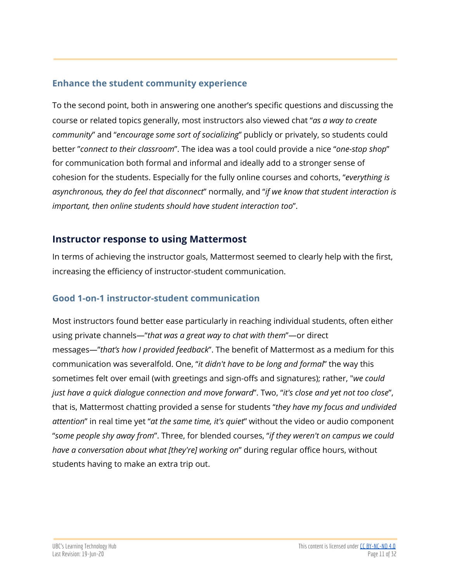#### **Enhance the student community experience**

To the second point, both in answering one another's specific questions and discussing the course or related topics generally, most instructors also viewed chat "*as a way to create community*" and "*encourage some sort of socializing*" publicly or privately, so students could better "*connect to their classroom*". The idea was a tool could provide a nice "*one-stop shop*" for communication both formal and informal and ideally add to a stronger sense of cohesion for the students. Especially for the fully online courses and cohorts, "*everything is asynchronous, they do feel that disconnect*" normally, and "*if we know that student interaction is important, then online students should have student interaction too*".

## <span id="page-10-0"></span>**Instructor response to using Mattermost**

In terms of achieving the instructor goals, Mattermost seemed to clearly help with the first, increasing the efficiency of instructor-student communication.

#### <span id="page-10-1"></span>**Good 1-on-1 instructor-student communication**

Most instructors found better ease particularly in reaching individual students, often either using private channels—"*that was a great way to chat with them*"—or direct messages—"*that's how I provided feedback*". The benefit of Mattermost as a medium for this communication was severalfold. One, "*it didn't have to be long and formal*" the way this sometimes felt over email (with greetings and sign-offs and signatures); rather, "*we could just have a quick dialogue connection and move forward*". Two, "*it's close and yet not too close*", that is, Mattermost chatting provided a sense for students "*they have my focus and undivided attention*" in real time yet "*at the same time, it's quiet*" without the video or audio component "*some people shy away from*". Three, for blended courses, "*if they weren't on campus we could have a conversation about what [they're] working on*" during regular office hours, without students having to make an extra trip out.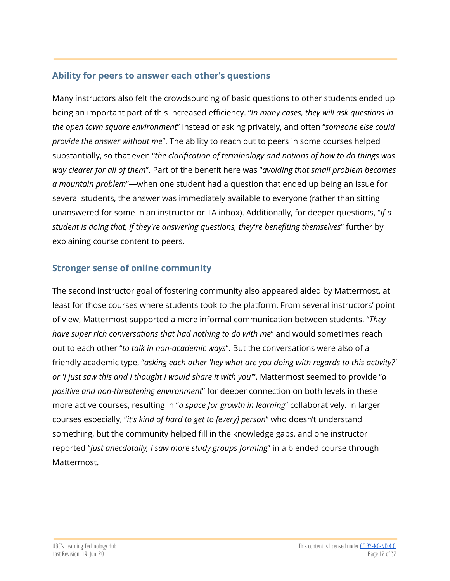#### <span id="page-11-0"></span>**Ability for peers to answer each other's questions**

Many instructors also felt the crowdsourcing of basic questions to other students ended up being an important part of this increased efficiency. "*In many cases, they will ask questions in the open town square environment*" instead of asking privately, and often "*someone else could provide the answer without me*". The ability to reach out to peers in some courses helped substantially, so that even "*the clarification of terminology and notions of how to do things was way clearer for all of them*". Part of the benefit here was "*avoiding that small problem becomes a mountain problem*"—when one student had a question that ended up being an issue for several students, the answer was immediately available to everyone (rather than sitting unanswered for some in an instructor or TA inbox). Additionally, for deeper questions, "*if a student is doing that, if they're answering questions, they're benefiting themselves*" further by explaining course content to peers.

## **Stronger sense of online community**

The second instructor goal of fostering community also appeared aided by Mattermost, at least for those courses where students took to the platform. From several instructors' point of view, Mattermost supported a more informal communication between students. "*They have super rich conversations that had nothing to do with me*" and would sometimes reach out to each other "*to talk in non-academic ways*". But the conversations were also of a friendly academic type, "*asking each other 'hey what are you doing with regards to this activity?' or 'I just saw this and I thought I would share it with you'*". Mattermost seemed to provide "*a positive and non-threatening environment*" for deeper connection on both levels in these more active courses, resulting in "*a space for growth in learning*" collaboratively. In larger courses especially, "*it's kind of hard to get to [every] person*" who doesn't understand something, but the community helped fill in the knowledge gaps, and one instructor reported "*just anecdotally, I saw more study groups forming*" in a blended course through Mattermost.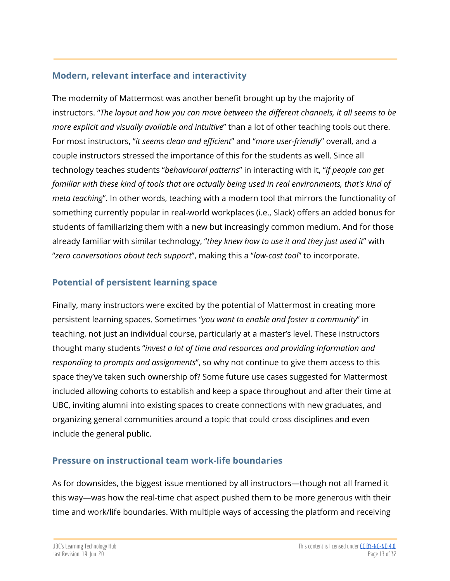## <span id="page-12-0"></span>**Modern, relevant interface and interactivity**

The modernity of Mattermost was another benefit brought up by the majority of instructors. "*The layout and how you can move between the different channels, it all seems to be more explicit and visually available and intuitive*" than a lot of other teaching tools out there. For most instructors, "*it seems clean and efficient*" and "*more user-friendly*" overall, and a couple instructors stressed the importance of this for the students as well. Since all technology teaches students "*behavioural patterns*" in interacting with it, "*if people can get familiar with these kind of tools that are actually being used in real environments, that's kind of meta teaching*". In other words, teaching with a modern tool that mirrors the functionality of something currently popular in real-world workplaces (i.e., Slack) offers an added bonus for students of familiarizing them with a new but increasingly common medium. And for those already familiar with similar technology, "*they knew how to use it and they just used it*" with "*zero conversations about tech support*", making this a "*low-cost tool*" to incorporate.

## **Potential of persistent learning space**

Finally, many instructors were excited by the potential of Mattermost in creating more persistent learning spaces. Sometimes "*you want to enable and foster a community*" in teaching, not just an individual course, particularly at a master's level. These instructors thought many students "*invest a lot of time and resources and providing information and responding to prompts and assignments*", so why not continue to give them access to this space they've taken such ownership of? Some future use cases suggested for Mattermost included allowing cohorts to establish and keep a space throughout and after their time at UBC, inviting alumni into existing spaces to create connections with new graduates, and organizing general communities around a topic that could cross disciplines and even include the general public.

#### <span id="page-12-1"></span>**Pressure on instructional team work-life boundaries**

As for downsides, the biggest issue mentioned by all instructors—though not all framed it this way—was how the real-time chat aspect pushed them to be more generous with their time and work/life boundaries. With multiple ways of accessing the platform and receiving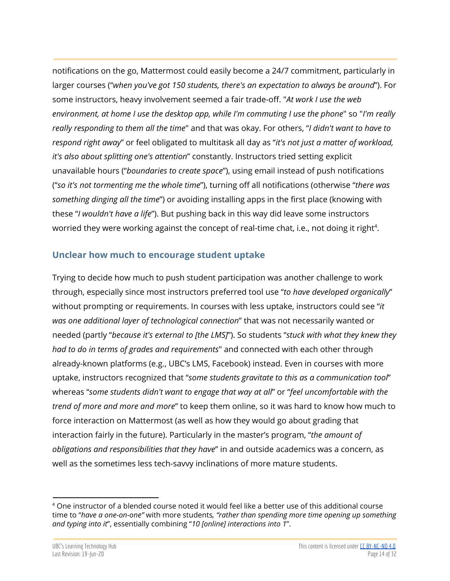notifications on the go, Mattermost could easily become a 24/7 commitment, particularly in larger courses ("*when you've got 150 students, there's an expectation to always be around*"). For some instructors, heavy involvement seemed a fair trade-off. "*At work I use the web environment, at home I use the desktop app, while I'm commuting I use the phone*" so "*I'm really really responding to them all the time*" and that was okay. For others, "*I didn't want to have to respond right away*" or feel obligated to multitask all day as "*it's not just a matter of workload, it's also about splitting one's attention*" constantly. Instructors tried setting explicit unavailable hours ("*boundaries to create space*"), using email instead of push notifications ("*so it's not tormenting me the whole time*"), turning off all notifications (otherwise "*there was something dinging all the time*") or avoiding installing apps in the first place (knowing with these "*I wouldn't have a life*"). But pushing back in this way did leave some instructors worried they were working against the concept of real-time chat, i.e., not doing it right $^4$ .

#### <span id="page-13-0"></span>**Unclear how much to encourage student uptake**

Trying to decide how much to push student participation was another challenge to work through, especially since most instructors preferred tool use "*to have developed organically*" without prompting or requirements. In courses with less uptake, instructors could see "*it was one additional layer of technological connection*" that was not necessarily wanted or needed (partly "*because it's external to [the LMS]*"). So students "*stuck with what they knew they had to do in terms of grades and requirements*" and connected with each other through already-known platforms (e.g., UBC's LMS, Facebook) instead. Even in courses with more uptake, instructors recognized that "*some students gravitate to this as a communication tool*" whereas "*some students didn't want to engage that way at all*" or "*feel uncomfortable with the trend of more and more and more*" to keep them online, so it was hard to know how much to force interaction on Mattermost (as well as how they would go about grading that interaction fairly in the future). Particularly in the master's program, "*the amount of obligations and responsibilities that they have*" in and outside academics was a concern, as well as the sometimes less tech-savvy inclinations of more mature students.

 $4$  One instructor of a blended course noted it would feel like a better use of this additional course time to "*have a one-on-one"* with more students*, "rather than spending more time opening up something and typing into it*", essentially combining "*10 [online] interactions into 1*".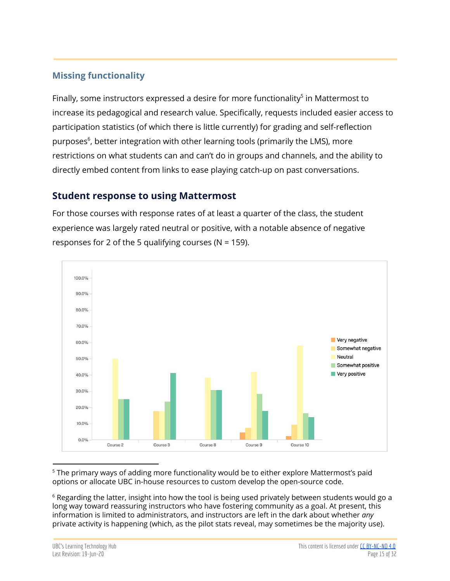## **Missing functionality**

Finally, some instructors expressed a desire for more functionality $<sup>5</sup>$  in Mattermost to</sup> increase its pedagogical and research value. Specifically, requests included easier access to participation statistics (of which there is little currently) for grading and self-reflection purposes<sup>6</sup>, better integration with other learning tools (primarily the LMS), more restrictions on what students can and can't do in groups and channels, and the ability to directly embed content from links to ease playing catch-up on past conversations.

#### <span id="page-14-0"></span>**Student response to using Mattermost**

For those courses with response rates of at least a quarter of the class, the student experience was largely rated neutral or positive, with a notable absence of negative responses for 2 of the 5 qualifying courses ( $N = 159$ ).



<sup>5</sup> The primary ways of adding more functionality would be to either explore Mattermost's paid options or allocate UBC in-house resources to custom develop the open-source code.

 $6$  Regarding the latter, insight into how the tool is being used privately between students would go a long way toward reassuring instructors who have fostering community as a goal. At present, this information is limited to administrators, and instructors are left in the dark about whether *any* private activity is happening (which, as the pilot stats reveal, may sometimes be the majority use).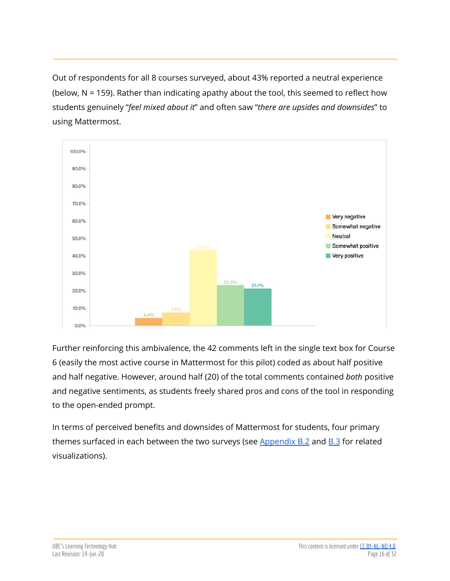Out of respondents for all 8 courses surveyed, about 43% reported a neutral experience (below, N = 159). Rather than indicating apathy about the tool, this seemed to reflect how students genuinely "*feel mixed about it*" and often saw "*there are upsides and downsides*" to using Mattermost.



Further reinforcing this ambivalence, the 42 comments left in the single text box for Course 6 (easily the most active course in Mattermost for this pilot) coded as about half positive and half negative. However, around half (20) of the total comments contained *both* positive and negative sentiments, as students freely shared pros and cons of the tool in responding to the open-ended prompt.

In terms of perceived benefits and downsides of Mattermost for students, four primary themes surfaced in each between the two surveys (see  $\Delta p$  and  $\Delta p$  and  $\Delta p$  for related visualizations).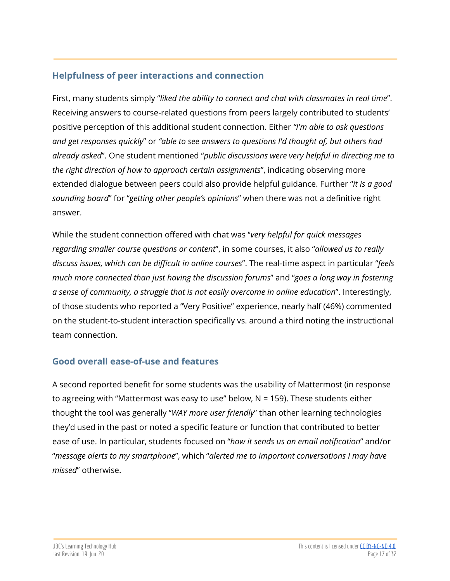## <span id="page-16-0"></span>**Helpfulness of peer interactions and connection**

First, many students simply "*liked the ability to connect and chat with classmates in real time*". Receiving answers to course-related questions from peers largely contributed to students' positive perception of this additional student connection. Either *"I'm able to ask questions and get responses quickly*" or *"able to see answers to questions I'd thought of, but others had already asked*". One student mentioned "*public discussions were very helpful in directing me to the right direction of how to approach certain assignments*", indicating observing more extended dialogue between peers could also provide helpful guidance. Further "*it is a good sounding board*" for "*getting other people's opinions*" when there was not a definitive right answer.

While the student connection offered with chat was "*very helpful for quick messages regarding smaller course questions or content*", in some courses, it also "*allowed us to really discuss issues, which can be difficult in online courses*". The real-time aspect in particular "*feels much more connected than just having the discussion forums*" and "*goes a long way in fostering a sense of community, a struggle that is not easily overcome in online education*". Interestingly, of those students who reported a "Very Positive" experience, nearly half (46%) commented on the student-to-student interaction specifically vs. around a third noting the instructional team connection.

## <span id="page-16-1"></span>**Good overall ease-of-use and features**

A second reported benefit for some students was the usability of Mattermost (in response to agreeing with "Mattermost was easy to use" below, N = 159). These students either thought the tool was generally "*WAY more user friendly*" than other learning technologies they'd used in the past or noted a specific feature or function that contributed to better ease of use. In particular, students focused on "*how it sends us an email notification*" and/or "*message alerts to my smartphone*", which "*alerted me to important conversations I may have missed*" otherwise.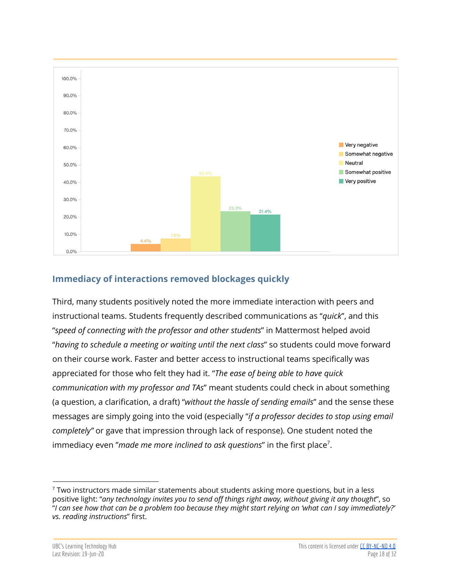

## <span id="page-17-0"></span>**Immediacy of interactions removed blockages quickly**

Third, many students positively noted the more immediate interaction with peers and instructional teams. Students frequently described communications as "*quick*", and this "*speed of connecting with the professor and other students*" in Mattermost helped avoid "*having to schedule a meeting or waiting until the next class*" so students could move forward on their course work. Faster and better access to instructional teams specifically was appreciated for those who felt they had it. "*The ease of being able to have quick communication with my professor and TAs*" meant students could check in about something (a question, a clarification, a draft) "*without the hassle of sending emails*" and the sense these messages are simply going into the void (especially "*if a professor decides to stop using email completely"* or gave that impression through lack of response). One student noted the immediacy even "made me more inclined to ask questions" in the first place<sup>7</sup>.

 $7$  Two instructors made similar statements about students asking more questions, but in a less positive light: "*any technology invites you to send off things right away, without giving it any thought*", so "I can see how that can be a problem too because they might start relying on 'what can I say immediately?' *vs. reading instructions*" first.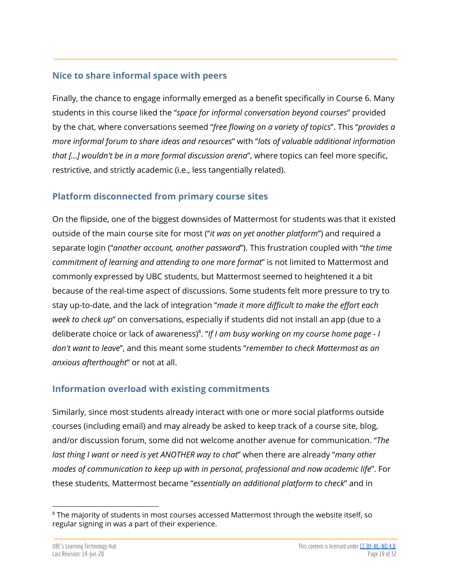#### <span id="page-18-0"></span>**Nice to share informal space with peers**

Finally, the chance to engage informally emerged as a benefit specifically in Course 6. Many students in this course liked the "*space for informal conversation beyond courses*" provided by the chat, where conversations seemed "*free flowing on a variety of topics*". This "*provides a more informal forum to share ideas and resources*" with "*lots of valuable additional information that [...] wouldn't be in a more formal discussion arena*", where topics can feel more specific, restrictive, and strictly academic (i.e., less tangentially related).

#### <span id="page-18-2"></span>**Platform disconnected from primary course sites**

On the flipside, one of the biggest downsides of Mattermost for students was that it existed outside of the main course site for most ("*it was on yet another platform*") and required a separate login ("*another account, another password*"). This frustration coupled with "*the time commitment of learning and attending to one more format*" is not limited to Mattermost and commonly expressed by UBC students, but Mattermost seemed to heightened it a bit because of the real-time aspect of discussions. Some students felt more pressure to try to stay up-to-date, and the lack of integration "*made it more difficult to make the effort each week to check up*" on conversations, especially if students did not install an app (due to a deliberate choice or lack of awareness) . "*If I am busy working on my course home page - I* 8 *don't want to leave*", and this meant some students "*remember to check Mattermost as an anxious afterthought*" or not at all.

## <span id="page-18-1"></span>**Information overload with existing commitments**

Similarly, since most students already interact with one or more social platforms outside courses (including email) and may already be asked to keep track of a course site, blog, and/or discussion forum, some did not welcome another avenue for communication. "*The last thing I want or need is yet ANOTHER way to chat*" when there are already "*many other modes of communication to keep up with in personal, professional and now academic life*". For these students, Mattermost became "*essentially an additional platform to check*" and in

 $8$  The majority of students in most courses accessed Mattermost through the website itself, so regular signing in was a part of their experience.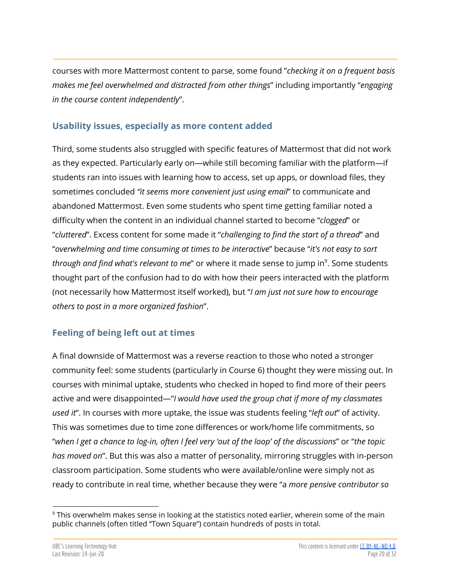courses with more Mattermost content to parse, some found "*checking it on a frequent basis makes me feel overwhelmed and distracted from other things*" including importantly "*engaging in the course content independently*".

#### <span id="page-19-0"></span>**Usability issues, especially as more content added**

Third, some students also struggled with specific features of Mattermost that did not work as they expected. Particularly early on—while still becoming familiar with the platform—if students ran into issues with learning how to access, set up apps, or download files, they sometimes concluded *"it seems more convenient just using email*" to communicate and abandoned Mattermost. Even some students who spent time getting familiar noted a difficulty when the content in an individual channel started to become "*clogged*" or "*cluttered*". Excess content for some made it "*challenging to find the start of a thread*" and "*overwhelming and time consuming at times to be interactive*" because "*it's not easy to sort through and find what's relevant to me"* or where it made sense to jump in<sup>9</sup>. Some students thought part of the confusion had to do with how their peers interacted with the platform (not necessarily how Mattermost itself worked), but "*I am just not sure how to encourage others to post in a more organized fashion*".

## <span id="page-19-1"></span>**Feeling of being left out at times**

A final downside of Mattermost was a reverse reaction to those who noted a stronger community feel: some students (particularly in Course 6) thought they were missing out. In courses with minimal uptake, students who checked in hoped to find more of their peers active and were disappointed—"*I would have used the group chat if more of my classmates used it*". In courses with more uptake, the issue was students feeling "*left out*" of activity. This was sometimes due to time zone differences or work/home life commitments, so "when I get a chance to log-in, often I feel very 'out of the loop' of the discussions" or "the topic *has moved on*". But this was also a matter of personality, mirroring struggles with in-person classroom participation. Some students who were available/online were simply not as ready to contribute in real time, whether because they were "a *more pensive contributor so*

<sup>&</sup>lt;sup>9</sup> This overwhelm makes sense in looking at the statistics noted earlier, wherein some of the main public channels (often titled "Town Square") contain hundreds of posts in total.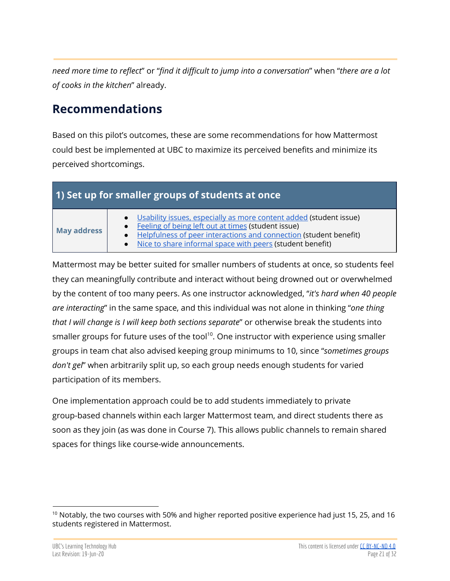*need more time to reflect*" or "*find it difficult to jump into a conversation*" when "*there are a lot of cooks in the kitchen*" already.

# <span id="page-20-0"></span>**Recommendations**

Based on this pilot's outcomes, these are some recommendations for how Mattermost could best be implemented at UBC to maximize its perceived benefits and minimize its perceived shortcomings.

<span id="page-20-1"></span>

|  | 1) Set up for smaller groups of students at once |  |  |
|--|--------------------------------------------------|--|--|
|  |                                                  |  |  |

# **May address**

- Usability issues, [especially](#page-19-0) as more content added (student issue)
- **[Feeling](#page-19-1) of being left out at times (student issue)**
- **Helpfulness of peer [interactions](#page-16-0) and connection (student benefit)**
- Nice to share [informal](#page-18-0) space with peers (student benefit)

Mattermost may be better suited for smaller numbers of students at once, so students feel they can meaningfully contribute and interact without being drowned out or overwhelmed by the content of too many peers. As one instructor acknowledged, "*it's hard when 40 people are interacting*" in the same space, and this individual was not alone in thinking "*one thing that I will change is I will keep both sections separate*" or otherwise break the students into smaller groups for future uses of the tool $^{10}$ . One instructor with experience using smaller groups in team chat also advised keeping group minimums to 10, since "*sometimes groups don't gel*" when arbitrarily split up, so each group needs enough students for varied participation of its members.

One implementation approach could be to add students immediately to private group-based channels within each larger Mattermost team, and direct students there as soon as they join (as was done in Course 7). This allows public channels to remain shared spaces for things like course-wide announcements.

<sup>&</sup>lt;sup>10</sup> Notably, the two courses with 50% and higher reported positive experience had just 15, 25, and 16 students registered in Mattermost.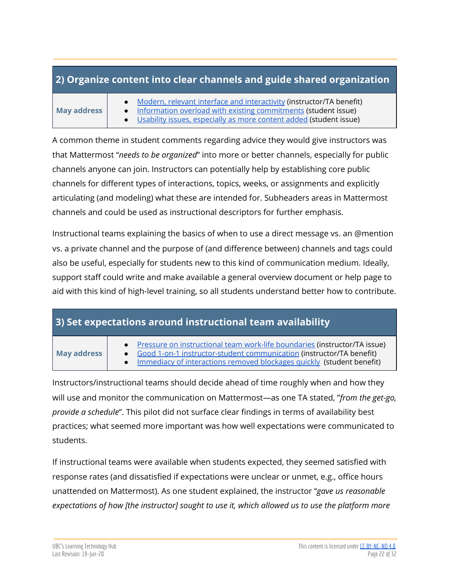## <span id="page-21-0"></span>**2) Organize content into clear channels and guide shared organization**

#### **May address**

- Modern, relevant interface and [interactivity](#page-12-0) (instructor/TA benefit)
- Information overload with existing [commitments](#page-18-1) (student issue)
- Usability issues, [especially](#page-19-0) as more content added (student issue)

A common theme in student comments regarding advice they would give instructors was that Mattermost "*needs to be organized*" into more or better channels, especially for public channels anyone can join. Instructors can potentially help by establishing core public channels for different types of interactions, topics, weeks, or assignments and explicitly articulating (and modeling) what these are intended for. Subheaders areas in Mattermost channels and could be used as instructional descriptors for further emphasis.

Instructional teams explaining the basics of when to use a direct message vs. an @mention vs. a private channel and the purpose of (and difference between) channels and tags could also be useful, especially for students new to this kind of communication medium. Ideally, support staff could write and make available a general overview document or help page to aid with this kind of high-level training, so all students understand better how to contribute.

## <span id="page-21-1"></span>**3) Set expectations around instructional team availability**

#### **May address**

- Pressure on [instructional](#page-12-1) team work-life boundaries (instructor/TA issue)
- Good 1-on-1 [instructor-student](#page-10-1) communication (instructor/TA benefit)
- Immediacy of [interactions](#page-17-0) removed blockages quickly (student benefit)

Instructors/instructional teams should decide ahead of time roughly when and how they will use and monitor the communication on Mattermost—as one TA stated, "*from the get-go, provide a schedule*". This pilot did not surface clear findings in terms of availability best practices; what seemed more important was how well expectations were communicated to students.

If instructional teams were available when students expected, they seemed satisfied with response rates (and dissatisfied if expectations were unclear or unmet, e.g., office hours unattended on Mattermost). As one student explained, the instructor "*gave us reasonable expectations of how [the instructor] sought to use it, which allowed us to use the platform more*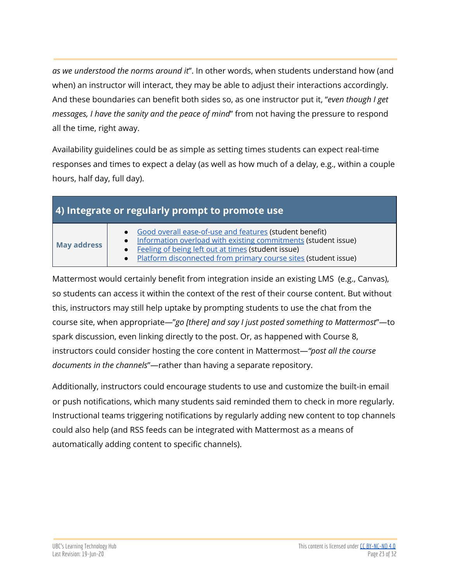*as we understood the norms around it*". In other words, when students understand how (and when) an instructor will interact, they may be able to adjust their interactions accordingly. And these boundaries can benefit both sides so, as one instructor put it, "*even though I get messages, I have the sanity and the peace of mind*" from not having the pressure to respond all the time, right away.

Availability guidelines could be as simple as setting times students can expect real-time responses and times to expect a delay (as well as how much of a delay, e.g., within a couple hours, half day, full day).

<span id="page-22-0"></span>

| 4) Integrate or regularly prompt to promote use |  |  |  |
|-------------------------------------------------|--|--|--|
|                                                 |  |  |  |

**May address**

- Good overall [ease-of-use](#page-16-1) and features (student benefit)
- Information overload with existing [commitments](#page-18-1) (student issue)
- **[Feeling](#page-19-1) of being left out at times (student issue)** 
	- **Platform [disconnected](#page-18-2) from primary course sites (student issue)**

Mattermost would certainly benefit from integration inside an existing LMS (e.g., Canvas), so students can access it within the context of the rest of their course content. But without this, instructors may still help uptake by prompting students to use the chat from the course site, when appropriate—"*go [there] and say I just posted something to Mattermost*"—to spark discussion, even linking directly to the post. Or, as happened with Course 8, instructors could consider hosting the core content in Mattermost—*"post all the course documents in the channels*"—rather than having a separate repository.

Additionally, instructors could encourage students to use and customize the built-in email or push notifications, which many students said reminded them to check in more regularly. Instructional teams triggering notifications by regularly adding new content to top channels could also help (and RSS feeds can be integrated with Mattermost as a means of automatically adding content to specific channels).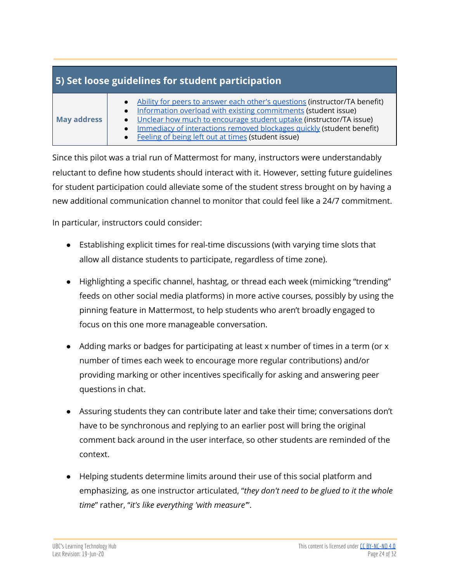## <span id="page-23-0"></span>**5) Set loose guidelines for student participation**

Since this pilot was a trial run of Mattermost for many, instructors were understandably reluctant to define how students should interact with it. However, setting future guidelines for student participation could alleviate some of the student stress brought on by having a new additional communication channel to monitor that could feel like a 24/7 commitment.

In particular, instructors could consider:

- Establishing explicit times for real-time discussions (with varying time slots that allow all distance students to participate, regardless of time zone).
- Highlighting a specific channel, hashtag, or thread each week (mimicking "trending" feeds on other social media platforms) in more active courses, possibly by using the pinning feature in Mattermost, to help students who aren't broadly engaged to focus on this one more manageable conversation.
- Adding marks or badges for participating at least x number of times in a term (or x number of times each week to encourage more regular contributions) and/or providing marking or other incentives specifically for asking and answering peer questions in chat.
- Assuring students they can contribute later and take their time; conversations don't have to be synchronous and replying to an earlier post will bring the original comment back around in the user interface, so other students are reminded of the context.
- Helping students determine limits around their use of this social platform and emphasizing, as one instructor articulated, "*they don't need to be glued to it the whole time*" rather, "*it's like everything 'with measure'*".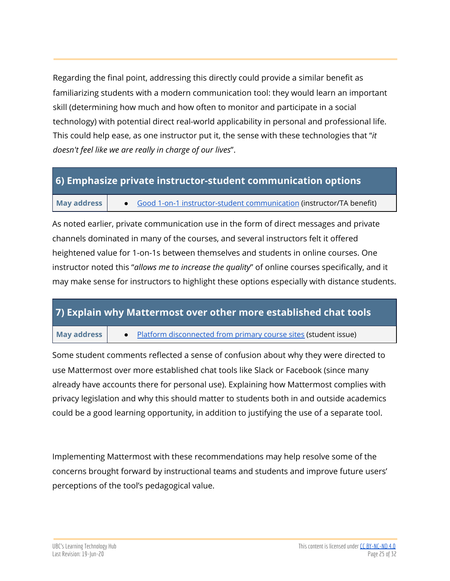Regarding the final point, addressing this directly could provide a similar benefit as familiarizing students with a modern communication tool: they would learn an important skill (determining how much and how often to monitor and participate in a social technology) with potential direct real-world applicability in personal and professional life. This could help ease, as one instructor put it, the sense with these technologies that "*it doesn't feel like we are really in charge of our lives*".

## <span id="page-24-0"></span>**6) Emphasize private instructor-student communication options**

#### **May address •** Good 1-on-1 [instructor-student](#page-10-1) communication (instructor/TA benefit)

As noted earlier, private communication use in the form of direct messages and private channels dominated in many of the courses, and several instructors felt it offered heightened value for 1-on-1s between themselves and students in online courses. One instructor noted this "*allows me to increase the quality*" of online courses specifically, and it may make sense for instructors to highlight these options especially with distance students.

## <span id="page-24-1"></span>**7) Explain why Mattermost over other more established chat tools**

**May address •** Platform [disconnected](#page-18-2) from primary course sites (student issue)

Some student comments reflected a sense of confusion about why they were directed to use Mattermost over more established chat tools like Slack or Facebook (since many already have accounts there for personal use). Explaining how Mattermost complies with privacy legislation and why this should matter to students both in and outside academics could be a good learning opportunity, in addition to justifying the use of a separate tool.

Implementing Mattermost with these recommendations may help resolve some of the concerns brought forward by instructional teams and students and improve future users' perceptions of the tool's pedagogical value.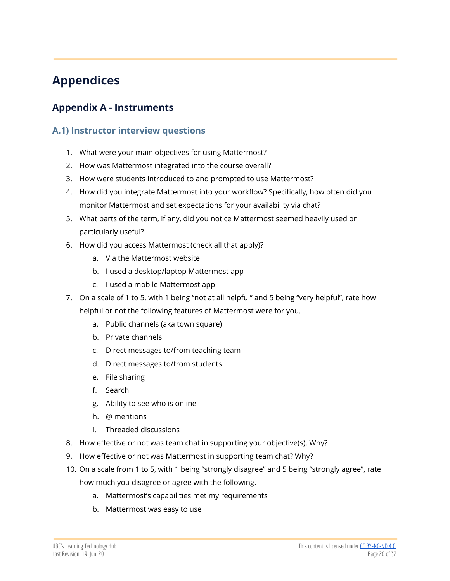# <span id="page-25-0"></span>**Appendices**

## <span id="page-25-2"></span><span id="page-25-1"></span>**Appendix A - Instruments**

#### **A.1) Instructor interview questions**

- 1. What were your main objectives for using Mattermost?
- 2. How was Mattermost integrated into the course overall?
- 3. How were students introduced to and prompted to use Mattermost?
- 4. How did you integrate Mattermost into your workflow? Specifically, how often did you monitor Mattermost and set expectations for your availability via chat?
- 5. What parts of the term, if any, did you notice Mattermost seemed heavily used or particularly useful?
- 6. How did you access Mattermost (check all that apply)?
	- a. Via the Mattermost website
	- b. I used a desktop/laptop Mattermost app
	- c. I used a mobile Mattermost app
- 7. On a scale of 1 to 5, with 1 being "not at all helpful" and 5 being "very helpful", rate how helpful or not the following features of Mattermost were for you.
	- a. Public channels (aka town square)
	- b. Private channels
	- c. Direct messages to/from teaching team
	- d. Direct messages to/from students
	- e. File sharing
	- f. Search
	- g. Ability to see who is online
	- h. @ mentions
	- i. Threaded discussions
- 8. How effective or not was team chat in supporting your objective(s). Why?
- 9. How effective or not was Mattermost in supporting team chat? Why?
- 10. On a scale from 1 to 5, with 1 being "strongly disagree" and 5 being "strongly agree", rate how much you disagree or agree with the following.
	- a. Mattermost's capabilities met my requirements
	- b. Mattermost was easy to use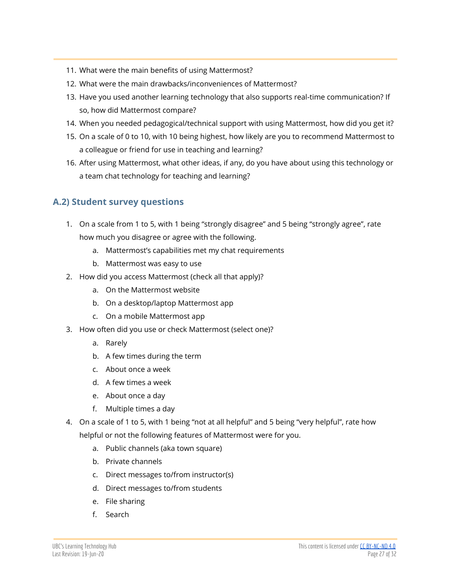- 11. What were the main benefits of using Mattermost?
- 12. What were the main drawbacks/inconveniences of Mattermost?
- 13. Have you used another learning technology that also supports real-time communication? If so, how did Mattermost compare?
- 14. When you needed pedagogical/technical support with using Mattermost, how did you get it?
- 15. On a scale of 0 to 10, with 10 being highest, how likely are you to recommend Mattermost to a colleague or friend for use in teaching and learning?
- 16. After using Mattermost, what other ideas, if any, do you have about using this technology or a team chat technology for teaching and learning?

#### <span id="page-26-0"></span>**A.2) Student survey questions**

- 1. On a scale from 1 to 5, with 1 being "strongly disagree" and 5 being "strongly agree", rate how much you disagree or agree with the following.
	- a. Mattermost's capabilities met my chat requirements
	- b. Mattermost was easy to use
- 2. How did you access Mattermost (check all that apply)?
	- a. On the Mattermost website
	- b. On a desktop/laptop Mattermost app
	- c. On a mobile Mattermost app
- 3. How often did you use or check Mattermost (select one)?
	- a. Rarely
	- b. A few times during the term
	- c. About once a week
	- d. A few times a week
	- e. About once a day
	- f. Multiple times a day
- 4. On a scale of 1 to 5, with 1 being "not at all helpful" and 5 being "very helpful", rate how

helpful or not the following features of Mattermost were for you.

- a. Public channels (aka town square)
- b. Private channels
- c. Direct messages to/from instructor(s)
- d. Direct messages to/from students
- e. File sharing
- f. Search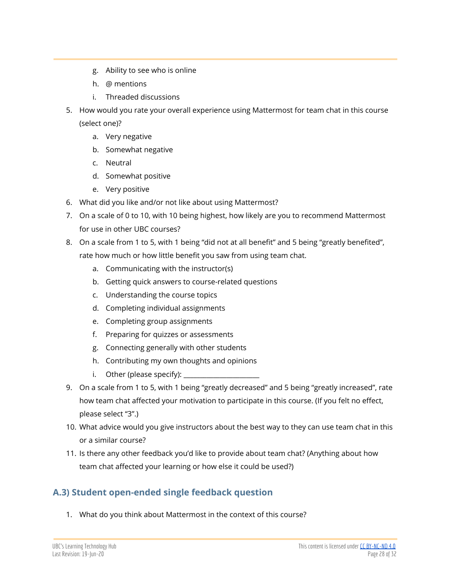- g. Ability to see who is online
- h. @ mentions
- i. Threaded discussions
- 5. How would you rate your overall experience using Mattermost for team chat in this course (select one)?
	- a. Very negative
	- b. Somewhat negative
	- c. Neutral
	- d. Somewhat positive
	- e. Very positive
- 6. What did you like and/or not like about using Mattermost?
- 7. On a scale of 0 to 10, with 10 being highest, how likely are you to recommend Mattermost for use in other UBC courses?
- 8. On a scale from 1 to 5, with 1 being "did not at all benefit" and 5 being "greatly benefited", rate how much or how little benefit you saw from using team chat.
	- a. Communicating with the instructor(s)
	- b. Getting quick answers to course-related questions
	- c. Understanding the course topics
	- d. Completing individual assignments
	- e. Completing group assignments
	- f. Preparing for quizzes or assessments
	- g. Connecting generally with other students
	- h. Contributing my own thoughts and opinions
	- i. Other (please specify):  $\Box$
- 9. On a scale from 1 to 5, with 1 being "greatly decreased" and 5 being "greatly increased", rate how team chat affected your motivation to participate in this course. (If you felt no effect, please select "3".)
- 10. What advice would you give instructors about the best way to they can use team chat in this or a similar course?
- 11. Is there any other feedback you'd like to provide about team chat? (Anything about how team chat affected your learning or how else it could be used?)

## <span id="page-27-0"></span>**A.3) Student open-ended single feedback question**

1. What do you think about Mattermost in the context of this course?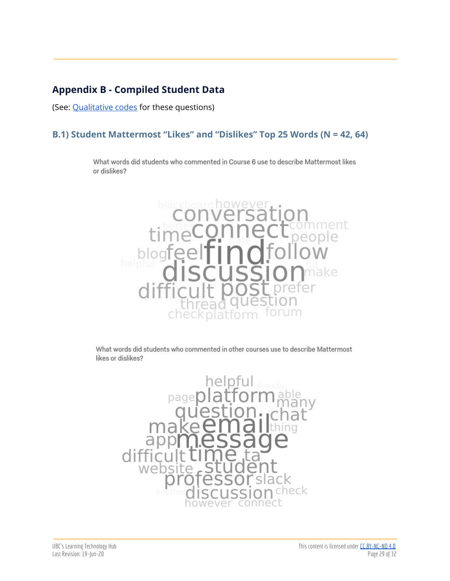## <span id="page-28-0"></span>**Appendix B - Compiled Student Data**

(See: [Qualitative](https://docs.google.com/document/d/1k4cGrpUXpTvTIEDFaKlWYDADzChzGyx35G2Czu7M1to/edit) codes for these questions)

#### **B.1) Student Mattermost "Likes" and "Dislikes" Top 25 Words (N = 42, 64)**

What words did students who commented in Course 6 use to describe Mattermost likes or dislikes?



What words did students who commented in other courses use to describe Mattermost likes or dislikes?

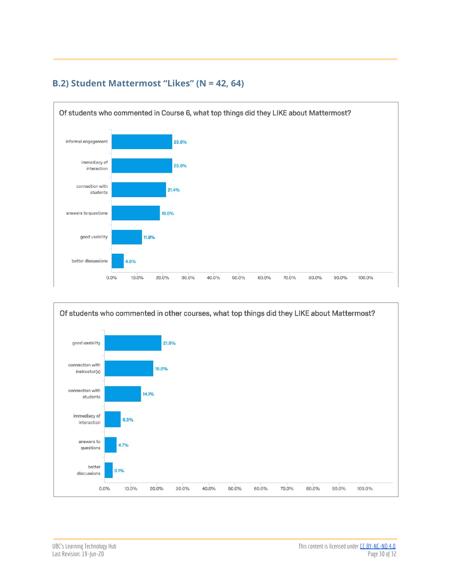

#### <span id="page-29-0"></span>**B.2) Student Mattermost "Likes" (N = 42, 64)**

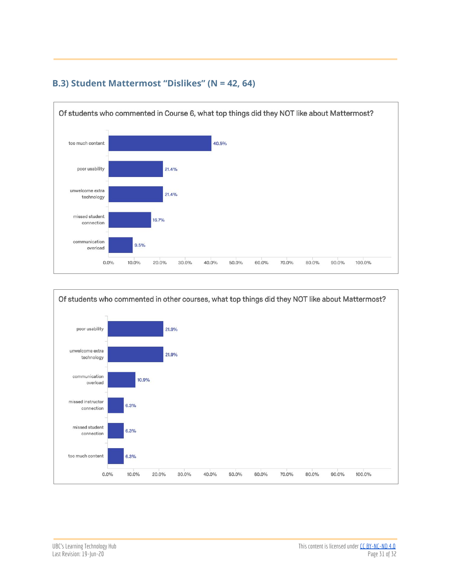

#### <span id="page-30-0"></span>**B.3) Student Mattermost "Dislikes" (N = 42, 64)**